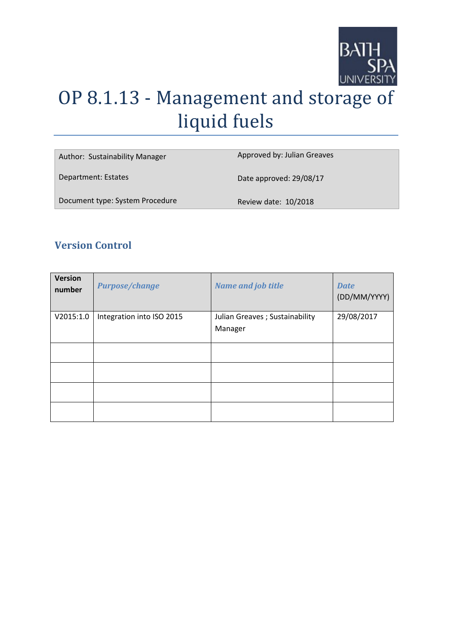

# OP 8.1.13 - Management and storage of liquid fuels

| Author: Sustainability Manager  | Approved by: Julian Greaves |
|---------------------------------|-----------------------------|
| Department: Estates             | Date approved: 29/08/17     |
| Document type: System Procedure | Review date: 10/2018        |

# **Version Control**

| <b>Version</b><br>number | <b>Purpose/change</b>     | <b>Name and job title</b>       | <b>Date</b><br>(DD/MM/YYYY) |
|--------------------------|---------------------------|---------------------------------|-----------------------------|
| V2015:1.0                | Integration into ISO 2015 | Julian Greaves ; Sustainability | 29/08/2017                  |
|                          |                           | Manager                         |                             |
|                          |                           |                                 |                             |
|                          |                           |                                 |                             |
|                          |                           |                                 |                             |
|                          |                           |                                 |                             |